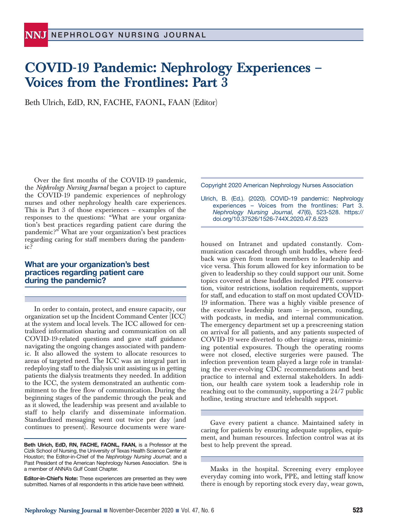## **COVID-19 Pandemic: Nephrology Experiences – Voices from the Frontlines: Part 3**

Beth Ulrich, EdD, RN, FACHE, FAONL, FAAN (Editor)

Over the first months of the COVID-19 pandemic, the *Nephrology Nursing Journal* began a project to capture the COVID-19 pandemic experiences of nephrology nurses and other nephrology health care experiences. This is Part 3 of those experiences – examples of the responses to the questions: "What are your organization's best practices regarding patient care during the pandemic?" What are your organization's best practices regarding caring for staff members during the pandemic?

## **What are your organization's best practices regarding patient care during the pandemic?**

In order to contain, protect, and ensure capacity, our organization set up the Incident Command Center (ICC) at the system and local levels. The ICC allowed for centralized information sharing and communication on all COVID-19-related questions and gave staff guidance navigating the ongoing changes associated with pandemic. It also allowed the system to allocate resources to areas of targeted need. The ICC was an integral part in redeploying staff to the dialysis unit assisting us in getting patients the dialysis treatments they needed. In addition to the ICC, the system demonstrated an authentic commitment to the free flow of communication. During the beginning stages of the pandemic through the peak and as it slowed, the leadership was present and available to staff to help clarify and disseminate information. Standardized messaging went out twice per day (and continues to present). Resource documents were ware-

**Editor-in-Chief's Note:** These experiences are presented as they were submitted. Names of all respondents in this article have been withheld.

Copyright 2020 American Nephrology Nurses Association

Ulrich, B. (Ed.). (2020). COVID-19 pandemic: Nephrology experiences – Voices from the frontlines: Part 3. *Nephrology Nursing Journal, 47*(6), 523-528. https:// doi.org/10.37526/1526-744X.2020.47.6.523

housed on Intranet and updated constantly. Communication cascaded through unit huddles, where feedback was given from team members to leadership and vice versa. This forum allowed for key information to be given to leadership so they could support our unit. Some topics covered at these huddles included PPE conservation, visitor restrictions, isolation requirements, support for staff, and education to staff on most updated COVID-19 information. There was a highly visible presence of the executive leadership team – in-person, rounding, with podcasts, in media, and internal communication. The emergency department set up a prescreening station on arrival for all patients, and any patients suspected of COVID-19 were diverted to other triage areas, minimizing potential exposures. Though the operating rooms were not closed, elective surgeries were paused. The infection prevention team played a large role in translating the ever-evolving CDC recommendations and best practice to internal and external stakeholders. In addition, our health care system took a leadership role in reaching out to the community, supporting a 24/7 public hotline, testing structure and telehealth support.

Gave every patient a chance. Maintained safety in caring for patients by ensuring adequate supplies, equipment, and human resources. Infection control was at its best to help prevent the spread.

Masks in the hospital. Screening every employee everyday coming into work, PPE, and letting staff know there is enough by reporting stock every day, wear gown,

**Beth Ulrich, EdD, RN, FACHE, FAONL, FAAN,** is a Professor at the Cizik School of Nursing, the University of Texas Health Science Center at Houston; the Editor-in-Chief of the *Nephrology Nursing Journal*; and a Past President of the American Nephrology Nurses Association. She is a member of ANNA's Gulf Coast Chapter.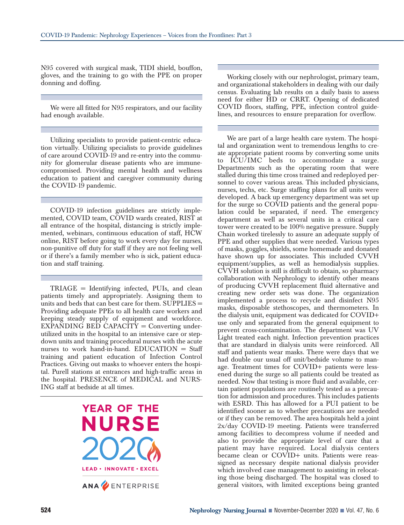N95 covered with surgical mask, TIDI shield, bouffon, gloves, and the training to go with the PPE on proper donning and doffing.

We were all fitted for N95 respirators, and our facility had enough available.

Utilizing specialists to provide patient-centric education virtually. Utilizing specialists to provide guidelines of care around COVID-19 and re-entry into the community for glomerular disease patients who are immunecompromised. Providing mental health and wellness education to patient and caregiver community during the COVID-19 pandemic.

COVID-19 infection guidelines are strictly implemented, COVID team, COVID wards created, RIST at all entrance of the hospital, distancing is strictly implemented, webinars, continuous education of staff, HCW online, RIST before going to work every day for nurses, non-punitive off duty for staff if they are not feeling well or if there's a family member who is sick, patient education and staff training.

TRIAGE = Identifying infected, PUIs, and clean patients timely and appropriately. Assigning them to units and beds that can best care for them. SUPPLIES = Providing adequate PPEs to all health care workers and keeping steady supply of equipment and workforce.  $EXPANDING BED CAPACITY = Converting under$ utilized units in the hospital to an intensive care or stepdown units and training procedural nurses with the acute nurses to work hand-in-hand.  $EDUCATION = Staff$ training and patient education of Infection Control Practices. Giving out masks to whoever enters the hospital. Purell stations at entrances and high-traffic areas in the hospital. PRESENCE of MEDICAL and NURS-ING staff at bedside at all times.



Working closely with our nephrologist, primary team, and organizational stakeholders in dealing with our daily census. Evaluating lab results on a daily basis to assess need for either HD or CRRT. Opening of dedicated COVID floors, staffing, PPE, infection control guidelines, and resources to ensure preparation for overflow.

We are part of a large health care system. The hospital and organization went to tremendous lengths to create appropriate patient rooms by converting some units to ICU/IMC beds to accommodate a surge. Departments such as the operating room that were stalled during this time cross trained and redeployed personnel to cover various areas. This included physicians, nurses, techs, etc. Surge staffing plans for all units were developed. A back up emergency department was set up for the surge so COVID patients and the general population could be separated, if need. The emergency department as well as several units in a critical care tower were created to be 100% negative pressure. Supply Chain worked tirelessly to assure an adequate supply of PPE and other supplies that were needed. Various types of masks, goggles, shields, some homemade and donated have shown up for associates. This included CVVH equipment/supplies, as well as hemodialysis supplies. CVVH solution is still is difficult to obtain, so pharmacy collaboration with Nephrology to identify other means of producing CVVH replacement fluid alternative and creating new order sets was done. The organization implemented a process to recycle and disinfect N95 masks, disposable stethoscopes, and thermometers. In the dialysis unit, equipment was dedicated for COVID+ use only and separated from the general equipment to prevent cross-contamination. The department was UV Light treated each night. Infection prevention practices that are standard in dialysis units were reinforced. All staff and patients wear masks. There were days that we had double our usual off unit/bedside volume to manage. Treatment times for COVID+ patients were lessened during the surge so all patients could be treated as needed. Now that testing is more fluid and available, certain patient populations are routinely tested as a precaution for admission and procedures. This includes patients with ESRD. This has allowed for a PUI patient to be identified sooner as to whether precautions are needed or if they can be removed. The area hospitals held a joint 2x/day COVID-19 meeting. Patients were transferred among facilities to decompress volume if needed and also to provide the appropriate level of care that a patient may have required. Local dialysis centers became clean or COVID+ units. Patients were reassigned as necessary despite national dialysis provider which involved case management to assisting in relocating those being discharged. The hospital was closed to general visitors, with limited exceptions being granted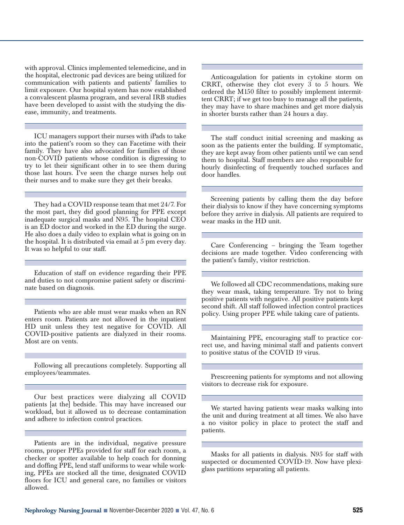with approval. Clinics implemented telemedicine, and in the hospital, electronic pad devices are being utilized for communication with patients and patients' families to limit exposure. Our hospital system has now established a convalescent plasma program, and several IRB studies have been developed to assist with the studying the disease, immunity, and treatments.

ICU managers support their nurses with iPads to take into the patient's room so they can Facetime with their family. They have also advocated for families of those non-COVID patients whose condition is digressing to try to let their significant other in to see them during those last hours. I've seen the charge nurses help out their nurses and to make sure they get their breaks.

They had a COVID response team that met 24/7. For the most part, they did good planning for PPE except inadequate surgical masks and N95. The hospital CEO is an ED doctor and worked in the ED during the surge. He also does a daily video to explain what is going on in the hospital. It is distributed via email at 5 pm every day. It was so helpful to our staff.

Education of staff on evidence regarding their PPE and duties to not compromise patient safety or discriminate based on diagnosis.

Patients who are able must wear masks when an RN enters room. Patients are not allowed in the inpatient HD unit unless they test negative for COVID. All COVID-positive patients are dialyzed in their rooms. Most are on vents.

Following all precautions completely. Supporting all employees/teammates.

Our best practices were dialyzing all COVID patients [at the] bedside. This may have increased our workload, but it allowed us to decrease contamination and adhere to infection control practices.

Patients are in the individual, negative pressure rooms, proper PPEs provided for staff for each room, a checker or spotter available to help coach for donning and doffing PPE, lend staff uniforms to wear while working, PPEs are stocked all the time, designated COVID floors for ICU and general care, no families or visitors allowed.

Anticoagulation for patients in cytokine storm on CRRT, otherwise they clot every 3 to 5 hours. We ordered the M150 filter to possibly implement intermittent CRRT; if we get too busy to manage all the patients, they may have to share machines and get more dialysis in shorter bursts rather than 24 hours a day.

The staff conduct initial screening and masking as soon as the patients enter the building. If symptomatic, they are kept away from other patients until we can send them to hospital. Staff members are also responsible for hourly disinfecting of frequently touched surfaces and door handles.

Screening patients by calling them the day before their dialysis to know if they have concerning symptoms before they arrive in dialysis. All patients are required to wear masks in the HD unit.

Care Conferencing – bringing the Team together decisions are made together. Video conferencing with the patient's family, visitor restriction.

We followed all CDC recommendations, making sure they wear mask, taking temperature. Try not to bring positive patients with negative. All positive patients kept second shift. All staff followed infection control practices policy. Using proper PPE while taking care of patients.

Maintaining PPE, encouraging staff to practice correct use, and having minimal staff and patients convert to positive status of the COVID 19 virus.

Prescreening patients for symptoms and not allowing visitors to decrease risk for exposure.

We started having patients wear masks walking into the unit and during treatment at all times. We also have a no visitor policy in place to protect the staff and patients.

Masks for all patients in dialysis. N95 for staff with suspected or documented COVID-19. Now have plexiglass partitions separating all patients.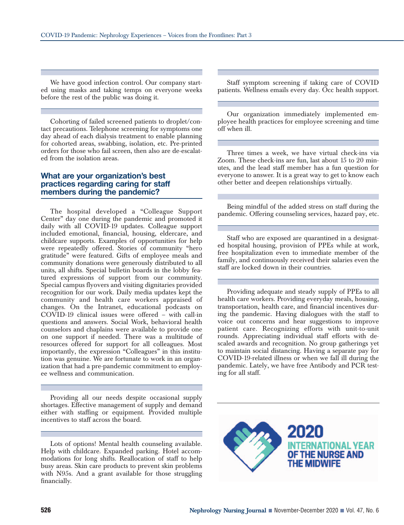We have good infection control. Our company started using masks and taking temps on everyone weeks before the rest of the public was doing it.

Cohorting of failed screened patients to droplet/contact precautions. Telephone screening for symptoms one day ahead of each dialysis treatment to enable planning for cohorted areas, swabbing, isolation, etc. Pre-printed orders for those who fail screen, then also are de-escalated from the isolation areas.

## **What are your organization's best practices regarding caring for staff members during the pandemic?**

The hospital developed a "Colleague Support Center" day one during the pandemic and promoted it daily with all COVID-19 updates. Colleague support included emotional, financial, housing, eldercare, and childcare supports. Examples of opportunities for help were repeatedly offered. Stories of community "hero gratitude" were featured. Gifts of employee meals and community donations were generously distributed to all units, all shifts. Special bulletin boards in the lobby featured expressions of support from our community. Special campus flyovers and visiting dignitaries provided recognition for our work. Daily media updates kept the community and health care workers appraised of changes. On the Intranet, educational podcasts on COVID-19 clinical issues were offered – with call-in questions and answers. Social Work, behavioral health counselors and chaplains were available to provide one on one support if needed. There was a multitude of resources offered for support for all colleagues. Most importantly, the expression "Colleagues" in this institution was genuine. We are fortunate to work in an organization that had a pre-pandemic commitment to employee wellness and communication.

Providing all our needs despite occasional supply shortages. Effective management of supply and demand either with staffing or equipment. Provided multiple incentives to staff across the board.

Lots of options! Mental health counseling available. Help with childcare. Expanded parking. Hotel accommodations for long shifts. Reallocation of staff to help busy areas. Skin care products to prevent skin problems with N95s. And a grant available for those struggling financially.

Staff symptom screening if taking care of COVID patients. Wellness emails every day. Occ health support.

Our organization immediately implemented employee health practices for employee screening and time off when ill.

Three times a week, we have virtual check-ins via Zoom. These check-ins are fun, last about 15 to 20 minutes, and the lead staff member has a fun question for everyone to answer. It is a great way to get to know each other better and deepen relationships virtually.

Being mindful of the added stress on staff during the pandemic. Offering counseling services, hazard pay, etc.

Staff who are exposed are quarantined in a designated hospital housing, provision of PPEs while at work, free hospitalization even to immediate member of the family, and continuously received their salaries even the staff are locked down in their countries.

Providing adequate and steady supply of PPEs to all health care workers. Providing everyday meals, housing, transportation, health care, and financial incentives during the pandemic. Having dialogues with the staff to voice out concerns and hear suggestions to improve patient care. Recognizing efforts with unit-to-unit rounds. Appreciating individual staff efforts with descaled awards and recognition. No group gatherings yet to maintain social distancing. Having a separate pay for COVID-19-related illness or when we fall ill during the pandemic. Lately, we have free Antibody and PCR testing for all staff.

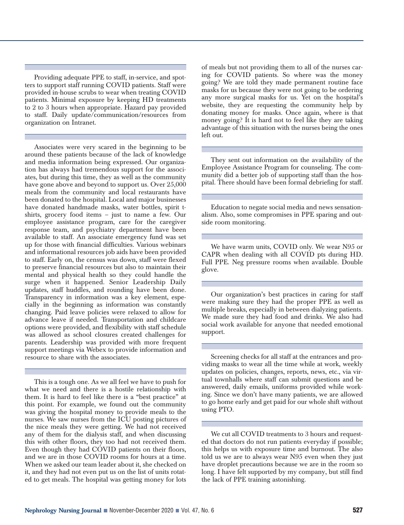Providing adequate PPE to staff, in-service, and spotters to support staff running COVID patients. Staff were provided in-house scrubs to wear when treating COVID patients. Minimal exposure by keeping HD treatments to 2 to 3 hours when appropriate. Hazard pay provided to staff. Daily update/communication/resources from organization on Intranet.

Associates were very scared in the beginning to be around these patients because of the lack of knowledge and media information being expressed. Our organization has always had tremendous support for the associates, but during this time, they as well as the community have gone above and beyond to support us. Over 25,000 meals from the community and local restaurants have been donated to the hospital. Local and major businesses have donated handmade masks, water bottles, spirit tshirts, grocery food items – just to name a few. Our employee assistance program, care for the caregiver response team, and psychiatry department have been available to staff. An associate emergency fund was set up for those with financial difficulties. Various webinars and informational resources job aids have been provided to staff. Early on, the census was down, staff were flexed to preserve financial resources but also to maintain their mental and physical health so they could handle the surge when it happened. Senior Leadership Daily updates, staff huddles, and rounding have been done. Transparency in information was a key element, especially in the beginning as information was constantly changing. Paid leave policies were relaxed to allow for advance leave if needed. Transportation and childcare options were provided, and flexibility with staff schedule was allowed as school closures created challenges for parents. Leadership was provided with more frequent support meetings via Webex to provide information and resource to share with the associates.

This is a tough one. As we all feel we have to push for what we need and there is a hostile relationship with them. It is hard to feel like there is a "best practice" at this point. For example, we found out the community was giving the hospital money to provide meals to the nurses. We saw nurses from the ICU posting pictures of the nice meals they were getting. We had not received any of them for the dialysis staff, and when discussing this with other floors, they too had not received them. Even though they had COVID patients on their floors, and we are in those COVID rooms for hours at a time. When we asked our team leader about it, she checked on it, and they had not even put us on the list of units rotated to get meals. The hospital was getting money for lots of meals but not providing them to all of the nurses caring for COVID patients. So where was the money going? We are told they made permanent routine face masks for us because they were not going to be ordering any more surgical masks for us. Yet on the hospital's website, they are requesting the community help by donating money for masks. Once again, where is that money going? It is hard not to feel like they are taking advantage of this situation with the nurses being the ones left out.

They sent out information on the availability of the Employee Assistance Program for counseling. The community did a better job of supporting staff than the hospital. There should have been formal debriefing for staff.

Education to negate social media and news sensationalism. Also, some compromises in PPE sparing and outside room monitoring.

We have warm units, COVID only. We wear N95 or CAPR when dealing with all COVID pts during HD. Full PPE. Neg pressure rooms when available. Double glove.

Our organization's best practices in caring for staff were making sure they had the proper PPE as well as multiple breaks, especially in between dialyzing patients. We made sure they had food and drinks. We also had social work available for anyone that needed emotional support.

Screening checks for all staff at the entrances and providing masks to wear all the time while at work, weekly updates on policies, changes, reports, news, etc., via virtual townhalls where staff can submit questions and be answered, daily emails, uniforms provided while working. Since we don't have many patients, we are allowed to go home early and get paid for our whole shift without using PTO.

We cut all COVID treatments to 3 hours and requested that doctors do not run patients everyday if possible; this helps us with exposure time and burnout. The also told us we are to always wear N95 even when they just have droplet precautions because we are in the room so long. I have felt supported by my company, but still find the lack of PPE training astonishing.